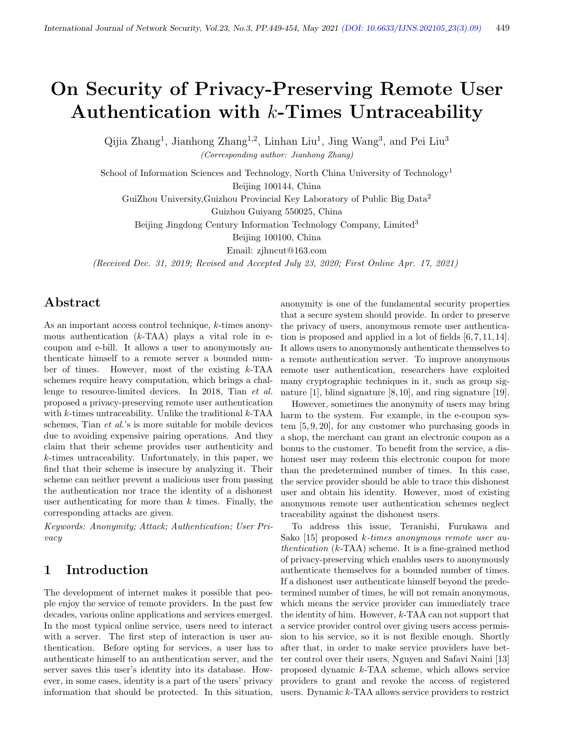# On Security of Privacy-Preserving Remote User Authentication with  $k$ -Times Untraceability

Qijia Zhang<sup>1</sup>, Jianhong Zhang<sup>1,2</sup>, Linhan Liu<sup>1</sup>, Jing Wang<sup>3</sup>, and Pei Liu<sup>3</sup> (Corresponding author: Jianhong Zhang)

School of Information Sciences and Technology, North China University of Technology<sup>1</sup> Beijing 100144, China

GuiZhou University,Guizhou Provincial Key Laboratory of Public Big Data<sup>2</sup>

Guizhou Guiyang 550025, China

Beijing Jingdong Century Information Technology Company, Limited<sup>3</sup>

Beijing 100100, China

Email: zjhncut@163.com

(Received Dec. 31, 2019; Revised and Accepted July 23, 2020; First Online Apr. 17, 2021)

# Abstract

As an important access control technique, k-times anonymous authentication  $(k-TAA)$  plays a vital role in ecoupon and e-bill. It allows a user to anonymously authenticate himself to a remote server a bounded number of times. However, most of the existing k-TAA schemes require heavy computation, which brings a challenge to resource-limited devices. In 2018, Tian et al. proposed a privacy-preserving remote user authentication with  $k$ -times untraceability. Unlike the traditional  $k$ -TAA schemes, Tian et al.'s is more suitable for mobile devices due to avoiding expensive pairing operations. And they claim that their scheme provides user authenticity and k-times untraceability. Unfortunately, in this paper, we find that their scheme is insecure by analyzing it. Their scheme can neither prevent a malicious user from passing the authentication nor trace the identity of a dishonest user authenticating for more than  $k$  times. Finally, the corresponding attacks are given.

Keywords: Anonymity; Attack; Authentication; User Privacy

# 1 Introduction

The development of internet makes it possible that people enjoy the service of remote providers. In the past few decades, various online applications and services emerged. In the most typical online service, users need to interact with a server. The first step of interaction is user authentication. Before opting for services, a user has to authenticate himself to an authentication server, and the server saves this user's identity into its database. However, in some cases, identity is a part of the users' privacy information that should be protected. In this situation,

anonymity is one of the fundamental security properties that a secure system should provide. In order to preserve the privacy of users, anonymous remote user authentication is proposed and applied in a lot of fields [6, 7, 11, 14]. It allows users to anonymously authenticate themselves to a remote authentication server. To improve anonymous remote user authentication, researchers have exploited many cryptographic techniques in it, such as group signature [1], blind signature [8, 10], and ring signature [19].

However, sometimes the anonymity of users may bring harm to the system. For example, in the e-coupon system [5, 9, 20], for any customer who purchasing goods in a shop, the merchant can grant an electronic coupon as a bonus to the customer. To benefit from the service, a dishonest user may redeem this electronic coupon for more than the predetermined number of times. In this case, the service provider should be able to trace this dishonest user and obtain his identity. However, most of existing anonymous remote user authentication schemes neglect traceability against the dishonest users.

To address this issue, Teranishi, Furukawa and Sako [15] proposed k-times anonymous remote user authentication  $(k-TAA)$  scheme. It is a fine-grained method of privacy-preserving which enables users to anonymously authenticate themselves for a bounded number of times. If a dishonest user authenticate himself beyond the predetermined number of times, he will not remain anonymous, which means the service provider can immediately trace the identity of him. However,  $k$ -TAA can not support that a service provider control over giving users access permission to his service, so it is not flexible enough. Shortly after that, in order to make service providers have better control over their users, Nguyen and Safavi Naini [13] proposed dynamic k-TAA scheme, which allows service providers to grant and revoke the access of registered users. Dynamic k-TAA allows service providers to restrict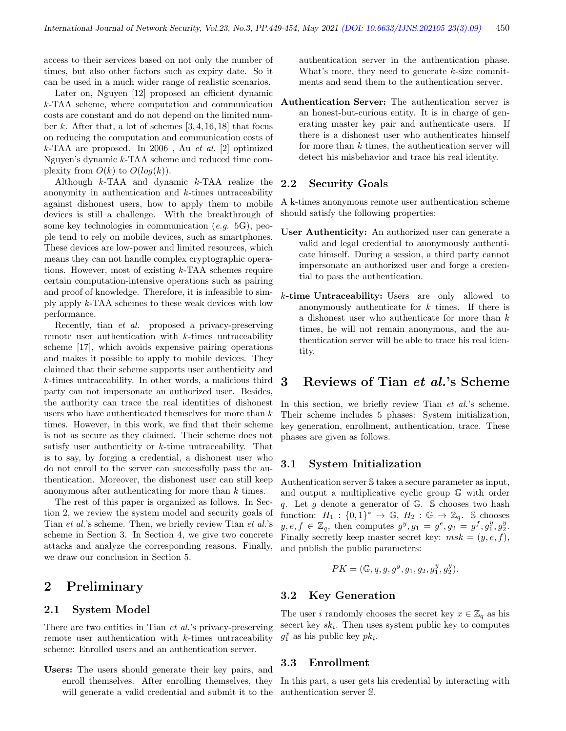access to their services based on not only the number of times, but also other factors such as expiry date. So it can be used in a much wider range of realistic scenarios.

Later on, Nguyen [12] proposed an efficient dynamic k-TAA scheme, where computation and communication costs are constant and do not depend on the limited number k. After that, a lot of schemes  $[3, 4, 16, 18]$  that focus on reducing the computation and communication costs of  $k$ -TAA are proposed. In 2006, Au et al. [2] optimized Nguyen's dynamic k-TAA scheme and reduced time complexity from  $O(k)$  to  $O(log(k))$ .

Although k-TAA and dynamic k-TAA realize the anonymity in authentication and k-times untraceability against dishonest users, how to apply them to mobile devices is still a challenge. With the breakthrough of some key technologies in communication (e.g. 5G), people tend to rely on mobile devices, such as smartphones. These devices are low-power and limited resources, which means they can not handle complex cryptographic operations. However, most of existing k-TAA schemes require certain computation-intensive operations such as pairing and proof of knowledge. Therefore, it is infeasible to simply apply k-TAA schemes to these weak devices with low performance.

Recently, tian et al. proposed a privacy-preserving remote user authentication with k-times untraceability scheme [17], which avoids expensive pairing operations and makes it possible to apply to mobile devices. They claimed that their scheme supports user authenticity and k-times untraceability. In other words, a malicious third party can not impersonate an authorized user. Besides, the authority can trace the real identities of dishonest users who have authenticated themselves for more than k times. However, in this work, we find that their scheme is not as secure as they claimed. Their scheme does not satisfy user authenticity or k-time untraceability. That is to say, by forging a credential, a dishonest user who do not enroll to the server can successfully pass the authentication. Moreover, the dishonest user can still keep anonymous after authenticating for more than k times.

The rest of this paper is organized as follows. In Section 2, we review the system model and security goals of Tian et al.'s scheme. Then, we briefly review Tian et al.'s scheme in Section 3. In Section 4, we give two concrete attacks and analyze the corresponding reasons. Finally, we draw our conclusion in Section 5.

## 2 Preliminary

#### 2.1 System Model

There are two entities in Tian *et al.*'s privacy-preserving remote user authentication with k-times untraceability scheme: Enrolled users and an authentication server.

Users: The users should generate their key pairs, and enroll themselves. After enrolling themselves, they will generate a valid credential and submit it to the

authentication server in the authentication phase. What's more, they need to generate  $k$ -size commitments and send them to the authentication server.

Authentication Server: The authentication server is an honest-but-curious entity. It is in charge of generating master key pair and authenticate users. If there is a dishonest user who authenticates himself for more than  $k$  times, the authentication server will detect his misbehavior and trace his real identity.

## 2.2 Security Goals

A k-times anonymous remote user authentication scheme should satisfy the following properties:

- User Authenticity: An authorized user can generate a valid and legal credential to anonymously authenticate himself. During a session, a third party cannot impersonate an authorized user and forge a credential to pass the authentication.
- k-time Untraceability: Users are only allowed to anonymously authenticate for  $k$  times. If there is a dishonest user who authenticate for more than k times, he will not remain anonymous, and the authentication server will be able to trace his real identity.

## 3 Reviews of Tian et al.'s Scheme

In this section, we briefly review Tian *et al.*'s scheme. Their scheme includes 5 phases: System initialization, key generation, enrollment, authentication, trace. These phases are given as follows.

#### 3.1 System Initialization

Authentication server S takes a secure parameter as input, and output a multiplicative cyclic group G with order q. Let q denote a generator of  $\mathbb{G}$ . S chooses two hash function:  $H_1: \{0,1\}^* \to \mathbb{G}, H_2: \mathbb{G} \to \mathbb{Z}_q$ . S chooses  $y, e, f \in \mathbb{Z}_q$ , then computes  $g^y, g_1 = g^e, g_2 = g^f, g_1^y, g_2^y$ . Finally secretly keep master secret key:  $msk = (y, e, f)$ , and publish the public parameters:

$$
PK = (\mathbb{G}, q, g, g^y, g_1, g_2, g_1^y, g_2^y).
$$

## 3.2 Key Generation

The user *i* randomly chooses the secret key  $x \in \mathbb{Z}_q$  as his secert key  $sk_i$ . Then uses system public key to computes  $g_1^x$  as his public key  $pk_i$ .

#### 3.3 Enrollment

In this part, a user gets his credential by interacting with authentication server S.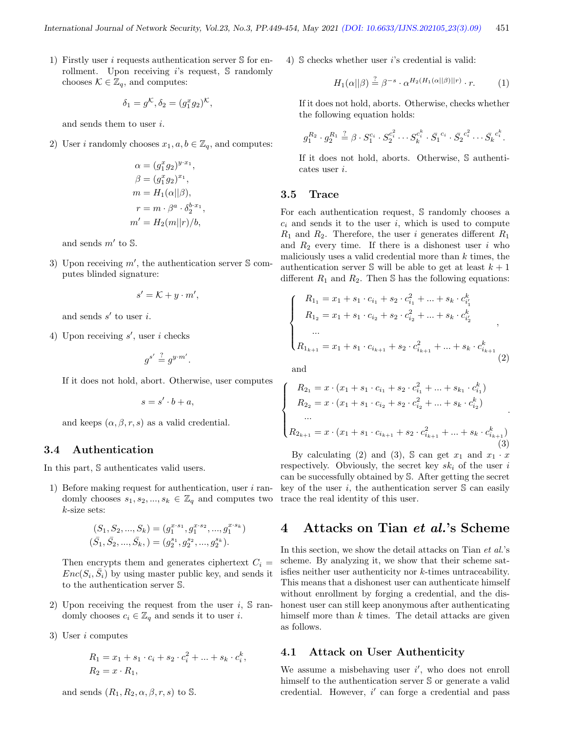1) Firstly user i requests authentication server  $S$  for enrollment. Upon receiving  $i$ 's request,  $\mathbb S$  randomly chooses  $\mathcal{K} \in \mathbb{Z}_q$ , and computes:

$$
\delta_1 = g^{\mathcal{K}}, \delta_2 = (g_1^x g_2)^{\mathcal{K}},
$$

and sends them to user i.

2) User *i* randomly chooses  $x_1, a, b \in \mathbb{Z}_q$ , and computes:

$$
\alpha = (g_1^x g_2)^{y \cdot x_1},
$$
  
\n
$$
\beta = (g_1^x g_2)^{x_1},
$$
  
\n
$$
m = H_1(\alpha || \beta),
$$
  
\n
$$
r = m \cdot \beta^a \cdot \delta_2^{b \cdot x_1},
$$
  
\n
$$
m' = H_2(m || r) / b,
$$

and sends  $m'$  to  $\mathbb{S}$ .

3) Upon receiving  $m'$ , the authentication server S computes blinded signature:

$$
s' = \mathcal{K} + y \cdot m',
$$

and sends  $s'$  to user i.

4) Upon receiving  $s'$ , user i checks

 $g^{s'} \stackrel{?}{=} g^{y \cdot m'}.$ 

If it does not hold, abort. Otherwise, user computes

 $s = s' \cdot b + a$ ,

and keeps  $(\alpha, \beta, r, s)$  as a valid credential.

#### 3.4 Authentication

In this part, S authenticates valid users.

1) Before making request for authentication, user  $i$  randomly chooses  $s_1, s_2, ..., s_k \in \mathbb{Z}_q$  and computes two k-size sets:

$$
(S_1, S_2, ..., S_k) = (g_1^{x \cdot s_1}, g_1^{x \cdot s_2}, ..., g_1^{x \cdot s_k})
$$
  

$$
(\bar{S}_1, \bar{S}_2, ..., \bar{S}_k, ) = (g_2^{s_1}, g_2^{s_2}, ..., g_2^{s_k}).
$$

Then encrypts them and generates ciphertext  $C_i$  =  $Enc(S_i, \overline{S}_i)$  by using master public key, and sends it to the authentication server S.

- 2) Upon receiving the request from the user  $i$ ,  $\Im$  randomly chooses  $c_i \in \mathbb{Z}_q$  and sends it to user *i*.
- 3) User i computes

$$
R_1 = x_1 + s_1 \cdot c_i + s_2 \cdot c_i^2 + \dots + s_k \cdot c_i^k,
$$
  
\n
$$
R_2 = x \cdot R_1,
$$

and sends 
$$
(R_1, R_2, \alpha, \beta, r, s)
$$
 to  $\mathbb{S}$ .

4)  $\delta$  checks whether user *i*'s credential is valid:

$$
H_1(\alpha||\beta) \stackrel{?}{=} \beta^{-s} \cdot \alpha^{H_2(H_1(\alpha||\beta)||r)} \cdot r. \tag{1}
$$

If it does not hold, aborts. Otherwise, checks whether the following equation holds:

$$
g_1^{R_2} \cdot g_2^{R_1} \stackrel{?}{=} \beta \cdot S_1^{c_i} \cdot S_2^{c_i^2} \cdots S_k^{c_i^k} \cdot \bar{S_1}^{c_i} \cdot \bar{S_2}^{c_i^2} \cdots \bar{S_k}^{c_i^k}.
$$

If it does not hold, aborts. Otherwise, S authenticates user i.

#### 3.5 Trace

For each authentication request, S randomly chooses a  $c_i$  and sends it to the user i, which is used to compute  $R_1$  and  $R_2$ . Therefore, the user i generates different  $R_1$ and  $R_2$  every time. If there is a dishonest user i who maliciously uses a valid credential more than  $k$  times, the authentication server  $\mathbb S$  will be able to get at least  $k+1$ different  $R_1$  and  $R_2$ . Then S has the following equations:

$$
\begin{cases}\nR_{11} = x_1 + s_1 \cdot c_{i_1} + s_2 \cdot c_{i_1}^2 + \dots + s_k \cdot c_{i'_1}^k \\
R_{12} = x_1 + s_1 \cdot c_{i_2} + s_2 \cdot c_{i_2}^2 + \dots + s_k \cdot c_{i'_2}^k \\
\vdots \\
R_{1_{k+1}} = x_1 + s_1 \cdot c_{i_{k+1}} + s_2 \cdot c_{i_{k+1}}^2 + \dots + s_k \cdot c_{i_{k+1}}^k\n\end{cases}
$$
\n(2)

and

 $\sqrt{ }$  $\int$ 

 $\overline{\mathcal{L}}$ 

$$
R_{2_1} = x \cdot (x_1 + s_1 \cdot c_{i_1} + s_2 \cdot c_{i_1}^2 + \dots + s_{k_1} \cdot c_{i_1}^k)
$$
  
\n
$$
R_{2_2} = x \cdot (x_1 + s_1 \cdot c_{i_2} + s_2 \cdot c_{i_2}^2 + \dots + s_k \cdot c_{i_2}^k)
$$
  
\n...  
\n
$$
R_{2_{k+1}} = x \cdot (x_1 + s_1 \cdot c_{i_{k+1}} + s_2 \cdot c_{i_{k+1}}^2 + \dots + s_k \cdot c_{i_{k+1}}^k)
$$
  
\n(3)

By calculating (2) and (3), S can get  $x_1$  and  $x_1 \cdot x$ respectively. Obviously, the secret key  $sk_i$  of the user i can be successfully obtained by S. After getting the secret key of the user  $i$ , the authentication server  $S$  can easily trace the real identity of this user.

# 4 Attacks on Tian et al.'s Scheme

In this section, we show the detail attacks on Tian *et al.*'s scheme. By analyzing it, we show that their scheme satisfies neither user authenticity nor k-times untraceability. This means that a dishonest user can authenticate himself without enrollment by forging a credential, and the dishonest user can still keep anonymous after authenticating himself more than  $k$  times. The detail attacks are given as follows.

### 4.1 Attack on User Authenticity

We assume a misbehaving user  $i'$ , who does not enroll himself to the authentication server  $S$  or generate a valid credential. However,  $i'$  can forge a credential and pass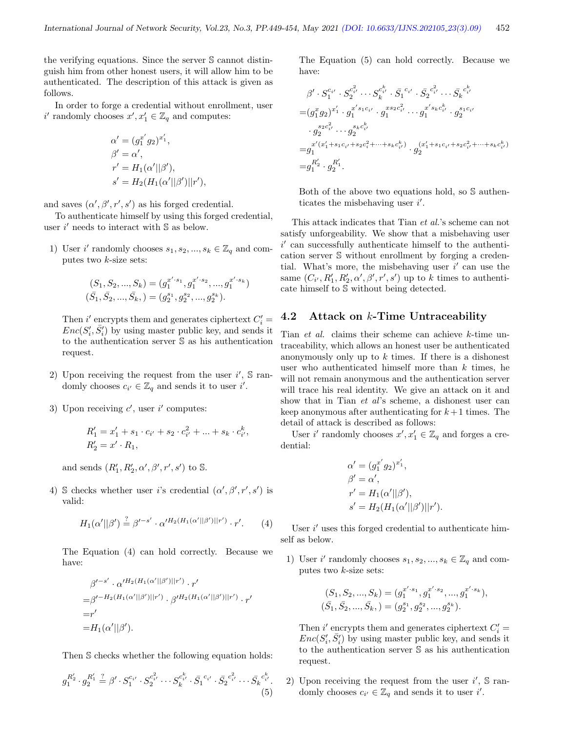the verifying equations. Since the server S cannot distinguish him from other honest users, it will allow him to be authenticated. The description of this attack is given as follows.

In order to forge a credential without enrollment, user i' randomly chooses  $x', x'_1 \in \mathbb{Z}_q$  and computes:

$$
\alpha' = (g_1^{x'} g_2)^{x'_1},
$$
  
\n
$$
\beta' = \alpha',
$$
  
\n
$$
r' = H_1(\alpha'||\beta'),
$$
  
\n
$$
s' = H_2(H_1(\alpha'||\beta')||r'),
$$

and saves  $(\alpha', \beta', r', s')$  as his forged credential.

To authenticate himself by using this forged credential, user  $i'$  needs to interact with  $\mathbb S$  as below.

1) User i' randomly chooses  $s_1, s_2, ..., s_k \in \mathbb{Z}_q$  and computes two k-size sets:

$$
(S_1, S_2, ..., S_k) = (g_1^{x' \cdot s_1}, g_1^{x' \cdot s_2}, ..., g_1^{x' \cdot s_k})
$$
  

$$
(\bar{S}_1, \bar{S}_2, ..., \bar{S}_k, ) = (g_2^{s_1}, g_2^{s_2}, ..., g_2^{s_k}).
$$

Then  $i'$  encrypts them and generates ciphertext  $C_i'$  =  $Enc(S'_i, \bar{S}'_i)$  by using master public key, and sends it to the authentication server S as his authentication request.

- 2) Upon receiving the request from the user  $i'$ ,  $\mathbb S$  randomly chooses  $c_{i'} \in \mathbb{Z}_q$  and sends it to user i'.
- 3) Upon receiving  $c'$ , user i' computes:

$$
R'_1 = x'_1 + s_1 \cdot c_{i'} + s_2 \cdot c_{i'}^2 + \dots + s_k \cdot c_{i'}^k,
$$
  

$$
R'_2 = x' \cdot R_1,
$$

and sends  $(R'_1, R'_2, \alpha', \beta', r', s')$  to S.

4) S checks whether user i's credential  $(\alpha', \beta', r', s')$  is valid:

$$
H_1(\alpha'||\beta') \stackrel{?}{=} \beta'^{-s'} \cdot \alpha'^{H_2(H_1(\alpha'||\beta')||r')} \cdot r'. \qquad (4)
$$

The Equation (4) can hold correctly. Because we have:

$$
\beta'^{-s'} \cdot \alpha'^{H_2(H_1(\alpha'||\beta')||r')} \cdot r'
$$
  
=
$$
\beta'^{-H_2(H_1(\alpha'||\beta')||r')} \cdot \beta'^{H_2(H_1(\alpha'||\beta')||r')} \cdot r'
$$
  
=
$$
r'
$$
  
=
$$
H_1(\alpha'||\beta').
$$

Then S checks whether the following equation holds:

$$
g_1^{R'_2} \cdot g_2^{R'_1} \stackrel{?}{=} \beta' \cdot S_1^{c_{i'}} \cdot S_2^{c_{i'}^2} \cdots S_k^{c_k^k} \cdot \bar{S}_1^{c_{i'}} \cdot \bar{S}_2^{c_{i'}^2} \cdots \bar{S}_k^{c_k^k}.
$$
\n(5)

The Equation (5) can hold correctly. Because we have:

$$
\beta' \cdot S_1^{c_{i'}} \cdot S_2^{c_{i'}^2} \cdots S_k^{c_{i'}^k} \cdot \bar{S}_1^{c_{i'}} \cdot \bar{S}_2^{c_{i'}^2} \cdots \bar{S}_k^{c_i^k}
$$
\n
$$
= (g_1^x g_2)^{x'_1} \cdot g_1^{x' s_1 c_{i'}} \cdot g_1^{x s_2 c_{i'}^2} \cdots g_1^{x' s_k c_{i'}^k} \cdot g_2^{s_1 c_{i'}}
$$
\n
$$
\cdot g_2^{s_2 c_{i'}^2} \cdots g_2^{s_k c_{i'}^k}
$$
\n
$$
= g_1^{x'(x'_1 + s_1 c_{i'} + s_2 c_i^2 + \cdots + s_k c_{i'}^k)} \cdot g_2^{(x'_1 + s_1 c_{i'} + s_2 c_{i'}^2 + \cdots + s_k c_{i'}^k)}
$$
\n
$$
= g_1^{R'_2} \cdot g_2^{R'_1}.
$$

Both of the above two equations hold, so S authenticates the misbehaving user  $i'$ .

This attack indicates that Tian et al.'s scheme can not satisfy unforgeability. We show that a misbehaving user  $i'$  can successfully authenticate himself to the authentication server S without enrollment by forging a credential. What's more, the misbehaving user  $i'$  can use the same  $(C_{i'}, R'_{1}, R'_{2}, \alpha', \beta', r', s')$  up to k times to authenticate himself to S without being detected.

## 4.2 Attack on k-Time Untraceability

Tian et al. claims their scheme can achieve k-time untraceability, which allows an honest user be authenticated anonymously only up to  $k$  times. If there is a dishonest user who authenticated himself more than  $k$  times, he will not remain anonymous and the authentication server will trace his real identity. We give an attack on it and show that in Tian et al's scheme, a dishonest user can keep anonymous after authenticating for  $k+1$  times. The detail of attack is described as follows:

User  $i'$  randomly chooses  $x', x'_1 \in \mathbb{Z}_q$  and forges a credential:

$$
\alpha' = (g_1^{x'} g_2)^{x'_1}, \n\beta' = \alpha', \nr' = H_1(\alpha'||\beta'), \ns' = H_2(H_1(\alpha'||\beta')||r').
$$

User  $i'$  uses this forged credential to authenticate himself as below.

1) User i' randomly chooses  $s_1, s_2, ..., s_k \in \mathbb{Z}_q$  and computes two  $k$ -size sets:

$$
(S_1, S_2, ..., S_k) = (g_1^{x' \cdot s_1}, g_1^{x' \cdot s_2}, ..., g_1^{x' \cdot s_k}),
$$
  

$$
(\bar{S}_1, \bar{S}_2, ..., \bar{S}_k, ) = (g_2^{s_1}, g_2^{s_2}, ..., g_2^{s_k}).
$$

Then  $i'$  encrypts them and generates ciphertext  $C_i'$  =  $Enc(S'_i, \bar{S}'_i)$  by using master public key, and sends it to the authentication server S as his authentication request.

2) Upon receiving the request from the user  $i'$ ,  $\mathbb S$  randomly chooses  $c_{i'} \in \mathbb{Z}_q$  and sends it to user i'.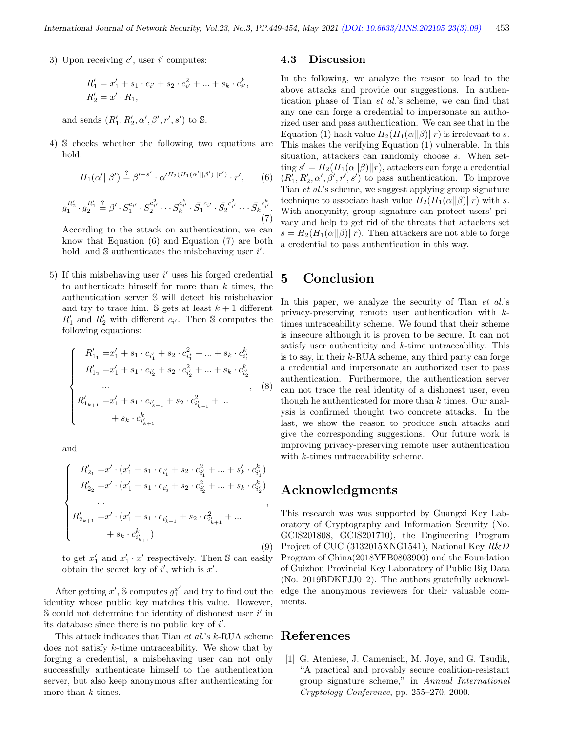3) Upon receiving  $c'$ , user  $i'$  computes:

$$
R'_1 = x'_1 + s_1 \cdot c_{i'} + s_2 \cdot c_{i'}^2 + \dots + s_k \cdot c_{i'}^k,
$$
  

$$
R'_2 = x' \cdot R_1,
$$

and sends  $(R'_1, R'_2, \alpha', \beta', r', s')$  to S.

4) S checks whether the following two equations are hold:

$$
H_1(\alpha'||\beta') \stackrel{?}{=} \beta'^{-s'} \cdot \alpha'^{H_2(H_1(\alpha'||\beta')||r')} \cdot r', \qquad (6)
$$

$$
g_1^{R'_2} \cdot g_2^{R'_1} \stackrel{?}{=} \beta' \cdot S_1^{c_{i'}} \cdot S_2^{c_{i'}^2} \cdots S_k^{c_k^k} \cdot \bar{S}_1^{c_{i'}} \cdot \bar{S}_2^{c_{i'}^2} \cdots \bar{S}_k^{c_k^k}.
$$
\n(7)

According to the attack on authentication, we can know that Equation (6) and Equation (7) are both hold, and  $S$  authenticates the misbehaving user  $i'$ .

5) If this misbehaving user  $i'$  uses his forged credential to authenticate himself for more than  $k$  times, the authentication server S will detect his misbehavior and try to trace him.  $\mathcal S$  gets at least  $k+1$  different  $R'_1$  and  $R'_2$  with different  $c_{i'}$ . Then S computes the following equations:

$$
\begin{cases}\nR'_{1_1} = x'_1 + s_1 \cdot c_{i'_1} + s_2 \cdot c_{i'_1}^2 + \dots + s_k \cdot c_{i'_1}^k \\
R'_{1_2} = x'_1 + s_1 \cdot c_{i'_2} + s_2 \cdot c_{i'_2}^2 + \dots + s_k \cdot c_{i'_2}^k \\
& \dots & , (8) \\
R'_{1_{k+1}} = x'_1 + s_1 \cdot c_{i'_{k+1}} + s_2 \cdot c_{i'_{k+1}}^2 + \dots \\
& & \dots & + s_k \cdot c_{i'_{k+1}}^k\n\end{cases}
$$

and

$$
\begin{cases}\nR'_{2_1} = x' \cdot (x'_1 + s_1 \cdot c_{i'_1} + s_2 \cdot c_{i'_1}^2 + \dots + s'_k \cdot c_{i'_1}^k) \\
R'_{2_2} = x' \cdot (x'_1 + s_1 \cdot c_{i'_2} + s_2 \cdot c_{i'_2}^2 + \dots + s_k \cdot c_{i'_2}^k) \\
\dots \\
R'_{2_{k+1}} = x' \cdot (x'_1 + s_1 \cdot c_{i'_{k+1}} + s_2 \cdot c_{i'_{k+1}}^2 + \dots \\
&\quad + s_k \cdot c_{i'_{k+1}}^k\n\end{cases}
$$
\n(9)

to get  $x'_1$  and  $x'_1 \cdot x'$  respectively. Then S can easily obtain the secret key of  $i'$ , which is  $x'$ .

After getting  $x'$ , S computes  $g_1^{x'}$  and try to find out the identity whose public key matches this value. However,  $\mathbb S$  could not determine the identity of dishonest user  $i'$  in its database since there is no public key of  $i'$ .

This attack indicates that Tian et al.'s k-RUA scheme does not satisfy k-time untraceability. We show that by forging a credential, a misbehaving user can not only successfully authenticate himself to the authentication server, but also keep anonymous after authenticating for more than  $k$  times.

#### 4.3 Discussion

In the following, we analyze the reason to lead to the above attacks and provide our suggestions. In authentication phase of Tian et al.'s scheme, we can find that any one can forge a credential to impersonate an authorized user and pass authentication. We can see that in the Equation (1) hash value  $H_2(H_1(\alpha||\beta)||r)$  is irrelevant to s. This makes the verifying Equation (1) vulnerable. In this situation, attackers can randomly choose s. When setting  $s' = H_2(H_1(\alpha||\beta)||r)$ , attackers can forge a credential  $(R_1', R_2', \alpha', \beta', r', s')$  to pass authentication. To improve Tian et al.'s scheme, we suggest applying group signature technique to associate hash value  $H_2(H_1(\alpha||\beta)||r)$  with s. With anonymity, group signature can protect users' privacy and help to get rid of the threats that attackers set  $s = H_2(H_1(\alpha||\beta)||r)$ . Then attackers are not able to forge a credential to pass authentication in this way.

# 5 Conclusion

In this paper, we analyze the security of Tian *et al.*'s privacy-preserving remote user authentication with ktimes untraceability scheme. We found that their scheme is insecure although it is proven to be secure. It can not satisfy user authenticity and k-time untraceability. This is to say, in their  $k$ -RUA scheme, any third party can forge a credential and impersonate an authorized user to pass authentication. Furthermore, the authentication server can not trace the real identity of a dishonest user, even though he authenticated for more than  $k$  times. Our analysis is confirmed thought two concrete attacks. In the last, we show the reason to produce such attacks and give the corresponding suggestions. Our future work is improving privacy-preserving remote user authentication with *k*-times untraceability scheme.

## Acknowledgments

This research was was supported by Guangxi Key Laboratory of Cryptography and Information Security (No. GCIS201808, GCIS201710), the Engineering Program Project of CUC (3132015XNG1541), National Key R&D Program of China(2018YFB0803900) and the Foundation of Guizhou Provincial Key Laboratory of Public Big Data (No. 2019BDKFJJ012). The authors gratefully acknowledge the anonymous reviewers for their valuable comments.

## References

[1] G. Ateniese, J. Camenisch, M. Joye, and G. Tsudik, "A practical and provably secure coalition-resistant group signature scheme," in Annual International Cryptology Conference, pp. 255–270, 2000.